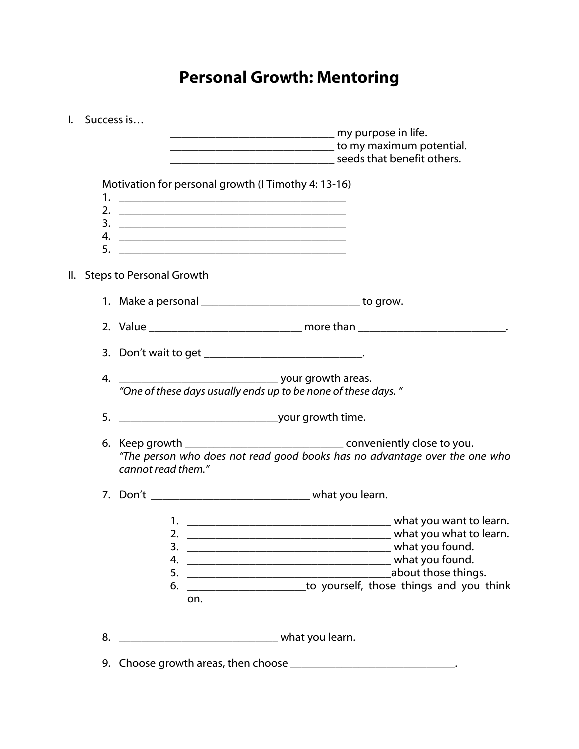## Personal Growth: Mentoring

| L.                    | Success is |                              |                    |                                                                                                                                                                                                                                                                                                                                                                                                                  |                                                                                                                                                                                                                                                                    |
|-----------------------|------------|------------------------------|--------------------|------------------------------------------------------------------------------------------------------------------------------------------------------------------------------------------------------------------------------------------------------------------------------------------------------------------------------------------------------------------------------------------------------------------|--------------------------------------------------------------------------------------------------------------------------------------------------------------------------------------------------------------------------------------------------------------------|
|                       |            |                              |                    |                                                                                                                                                                                                                                                                                                                                                                                                                  |                                                                                                                                                                                                                                                                    |
|                       |            |                              |                    |                                                                                                                                                                                                                                                                                                                                                                                                                  | <u>Land and the set of the set of the set of the set of the set of the set of the set of the set of the set of the set of the set of the set of the set of the set of the set of the set of the set of the set of the set of the</u><br>seeds that benefit others. |
|                       |            |                              |                    |                                                                                                                                                                                                                                                                                                                                                                                                                  |                                                                                                                                                                                                                                                                    |
|                       |            |                              |                    | Motivation for personal growth (I Timothy 4: 13-16)                                                                                                                                                                                                                                                                                                                                                              |                                                                                                                                                                                                                                                                    |
|                       |            |                              |                    |                                                                                                                                                                                                                                                                                                                                                                                                                  |                                                                                                                                                                                                                                                                    |
|                       |            |                              |                    |                                                                                                                                                                                                                                                                                                                                                                                                                  |                                                                                                                                                                                                                                                                    |
|                       |            |                              |                    |                                                                                                                                                                                                                                                                                                                                                                                                                  |                                                                                                                                                                                                                                                                    |
|                       | 5.         |                              |                    |                                                                                                                                                                                                                                                                                                                                                                                                                  |                                                                                                                                                                                                                                                                    |
|                       |            |                              |                    |                                                                                                                                                                                                                                                                                                                                                                                                                  |                                                                                                                                                                                                                                                                    |
|                       |            | II. Steps to Personal Growth |                    |                                                                                                                                                                                                                                                                                                                                                                                                                  |                                                                                                                                                                                                                                                                    |
|                       |            |                              |                    | 1. Make a personal _________________________________ to grow.                                                                                                                                                                                                                                                                                                                                                    |                                                                                                                                                                                                                                                                    |
|                       |            |                              |                    |                                                                                                                                                                                                                                                                                                                                                                                                                  |                                                                                                                                                                                                                                                                    |
|                       |            |                              |                    | 3. Don't wait to get _______________________________.                                                                                                                                                                                                                                                                                                                                                            |                                                                                                                                                                                                                                                                    |
|                       | 4.         |                              |                    |                                                                                                                                                                                                                                                                                                                                                                                                                  |                                                                                                                                                                                                                                                                    |
|                       |            |                              |                    | your growth areas.<br>"One of these days usually ends up to be none of these days."                                                                                                                                                                                                                                                                                                                              |                                                                                                                                                                                                                                                                    |
|                       |            |                              |                    |                                                                                                                                                                                                                                                                                                                                                                                                                  |                                                                                                                                                                                                                                                                    |
|                       |            |                              |                    |                                                                                                                                                                                                                                                                                                                                                                                                                  |                                                                                                                                                                                                                                                                    |
|                       |            |                              |                    |                                                                                                                                                                                                                                                                                                                                                                                                                  | 6. Keep growth __________________________________ conveniently close to you.                                                                                                                                                                                       |
|                       |            |                              | cannot read them." |                                                                                                                                                                                                                                                                                                                                                                                                                  | "The person who does not read good books has no advantage over the one who                                                                                                                                                                                         |
|                       |            |                              |                    |                                                                                                                                                                                                                                                                                                                                                                                                                  |                                                                                                                                                                                                                                                                    |
|                       |            |                              |                    |                                                                                                                                                                                                                                                                                                                                                                                                                  |                                                                                                                                                                                                                                                                    |
|                       |            |                              |                    |                                                                                                                                                                                                                                                                                                                                                                                                                  |                                                                                                                                                                                                                                                                    |
|                       |            |                              |                    | 2. $\frac{1}{\sqrt{1-\frac{1}{2}}\sqrt{1-\frac{1}{2}}\sqrt{1-\frac{1}{2}}\sqrt{1-\frac{1}{2}}\sqrt{1-\frac{1}{2}}\sqrt{1-\frac{1}{2}}\sqrt{1-\frac{1}{2}}\sqrt{1-\frac{1}{2}}\sqrt{1-\frac{1}{2}}\sqrt{1-\frac{1}{2}}\sqrt{1-\frac{1}{2}}\sqrt{1-\frac{1}{2}}\sqrt{1-\frac{1}{2}}\sqrt{1-\frac{1}{2}}\sqrt{1-\frac{1}{2}}\sqrt{1-\frac{1}{2}}\sqrt{1-\frac{1}{2}}\sqrt{1-\frac{1}{2}}\sqrt{1-\frac{1}{2}}\sqrt{$ | what you what to learn.                                                                                                                                                                                                                                            |
|                       |            |                              | 3.<br>4.           |                                                                                                                                                                                                                                                                                                                                                                                                                  |                                                                                                                                                                                                                                                                    |
|                       |            |                              | 5.                 |                                                                                                                                                                                                                                                                                                                                                                                                                  | about those things.                                                                                                                                                                                                                                                |
|                       |            |                              | 6.                 |                                                                                                                                                                                                                                                                                                                                                                                                                  | to yourself, those things and you think                                                                                                                                                                                                                            |
|                       |            |                              | on.                |                                                                                                                                                                                                                                                                                                                                                                                                                  |                                                                                                                                                                                                                                                                    |
|                       |            |                              |                    |                                                                                                                                                                                                                                                                                                                                                                                                                  |                                                                                                                                                                                                                                                                    |
| 8.<br>what you learn. |            |                              |                    |                                                                                                                                                                                                                                                                                                                                                                                                                  |                                                                                                                                                                                                                                                                    |
|                       |            |                              |                    | 9. Choose growth areas, then choose _______________________________.                                                                                                                                                                                                                                                                                                                                             |                                                                                                                                                                                                                                                                    |
|                       |            |                              |                    |                                                                                                                                                                                                                                                                                                                                                                                                                  |                                                                                                                                                                                                                                                                    |